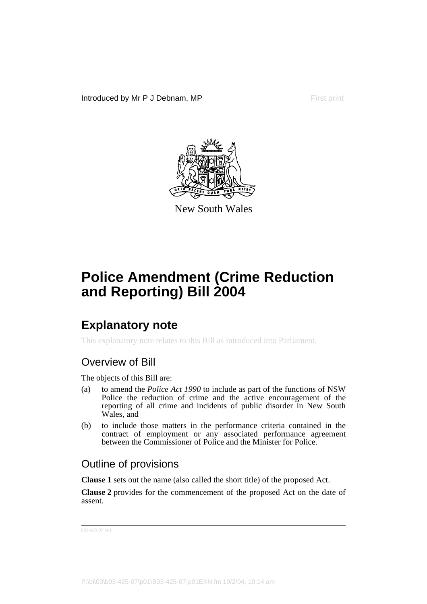Introduced by Mr P J Debnam, MP First print



New South Wales

# **Police Amendment (Crime Reduction and Reporting) Bill 2004**

## **Explanatory note**

This explanatory note relates to this Bill as introduced into Parliament.

### Overview of Bill

The objects of this Bill are:

- (a) to amend the *Police Act 1990* to include as part of the functions of NSW Police the reduction of crime and the active encouragement of the reporting of all crime and incidents of public disorder in New South Wales, and
- (b) to include those matters in the performance criteria contained in the contract of employment or any associated performance agreement between the Commissioner of Police and the Minister for Police.

### Outline of provisions

**Clause 1** sets out the name (also called the short title) of the proposed Act.

**Clause 2** provides for the commencement of the proposed Act on the date of assent.

b03-425-07.p01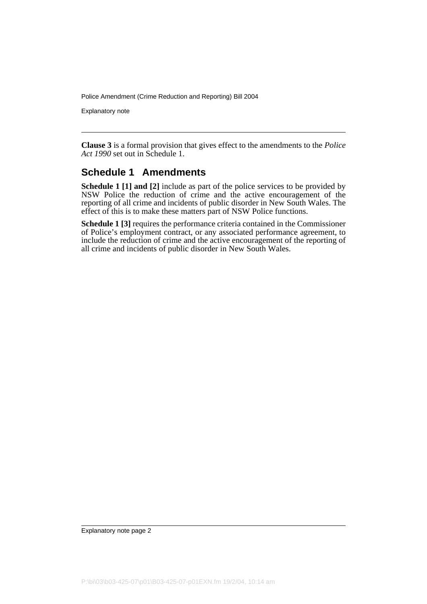Police Amendment (Crime Reduction and Reporting) Bill 2004

Explanatory note

**Clause 3** is a formal provision that gives effect to the amendments to the *Police Act 1990* set out in Schedule 1.

#### **Schedule 1 Amendments**

**Schedule 1 [1] and [2]** include as part of the police services to be provided by NSW Police the reduction of crime and the active encouragement of the reporting of all crime and incidents of public disorder in New South Wales. The effect of this is to make these matters part of NSW Police functions.

**Schedule 1 [3]** requires the performance criteria contained in the Commissioner of Police's employment contract, or any associated performance agreement, to include the reduction of crime and the active encouragement of the reporting of all crime and incidents of public disorder in New South Wales.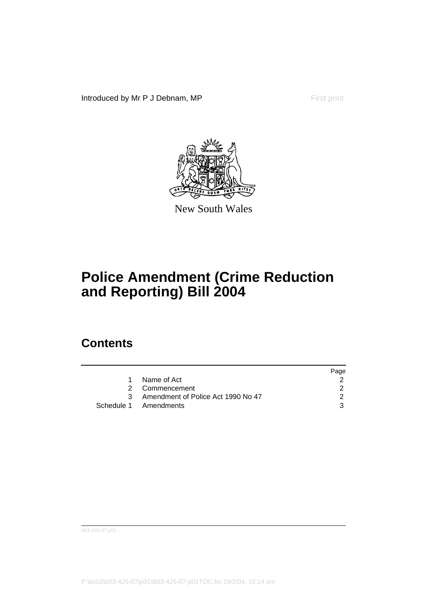Introduced by Mr P J Debnam, MP First print



New South Wales

## **Police Amendment (Crime Reduction and Reporting) Bill 2004**

### **Contents**

|   |                                    | Page |
|---|------------------------------------|------|
|   | Name of Act                        |      |
|   | 2 Commencement                     |      |
| 3 | Amendment of Police Act 1990 No 47 |      |
|   | Schedule 1 Amendments              | 3    |

b03-425-07.p01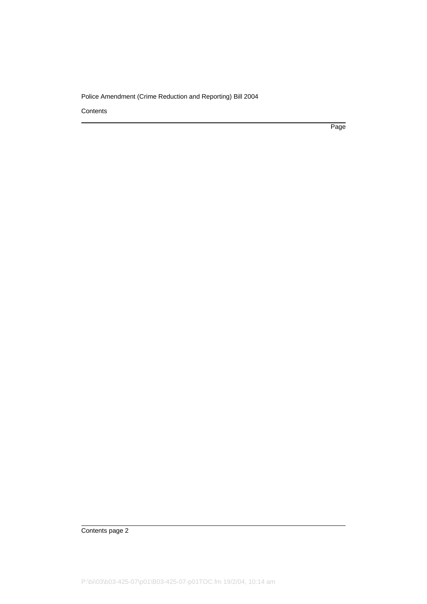#### Police Amendment (Crime Reduction and Reporting) Bill 2004

**Contents** 

Page

Contents page 2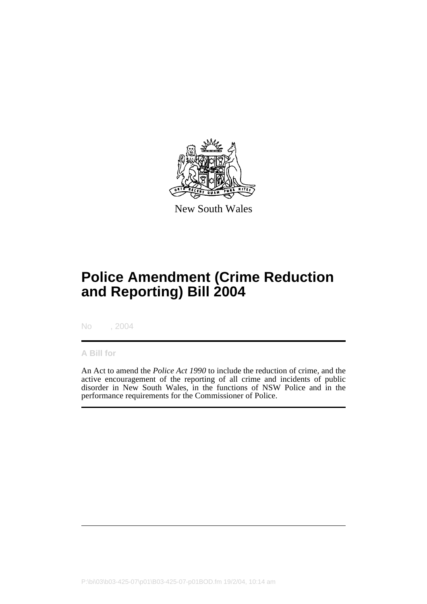

New South Wales

# **Police Amendment (Crime Reduction and Reporting) Bill 2004**

No , 2004

#### **A Bill for**

An Act to amend the *Police Act 1990* to include the reduction of crime, and the active encouragement of the reporting of all crime and incidents of public disorder in New South Wales, in the functions of NSW Police and in the performance requirements for the Commissioner of Police.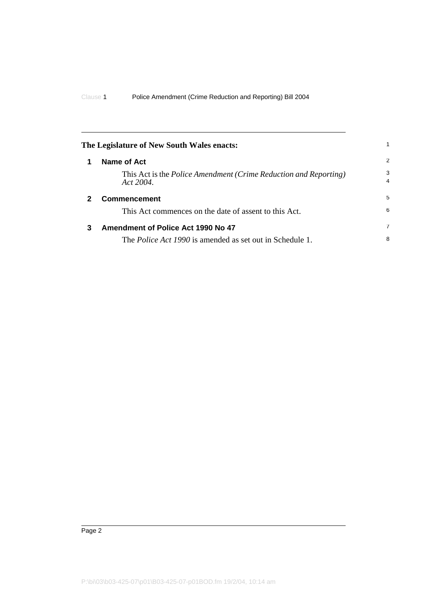<span id="page-5-2"></span><span id="page-5-1"></span><span id="page-5-0"></span>

|   | The Legislature of New South Wales enacts:                                              | 1                   |
|---|-----------------------------------------------------------------------------------------|---------------------|
|   | Name of Act                                                                             | 2                   |
|   | This Act is the <i>Police Amendment (Crime Reduction and Reporting)</i><br>Act $2004$ . | 3<br>$\overline{a}$ |
|   | <b>Commencement</b>                                                                     | 5                   |
|   | This Act commences on the date of assent to this Act.                                   | 6                   |
| 3 | Amendment of Police Act 1990 No 47                                                      | $\overline{7}$      |
|   | The <i>Police Act 1990</i> is amended as set out in Schedule 1.                         | 8                   |